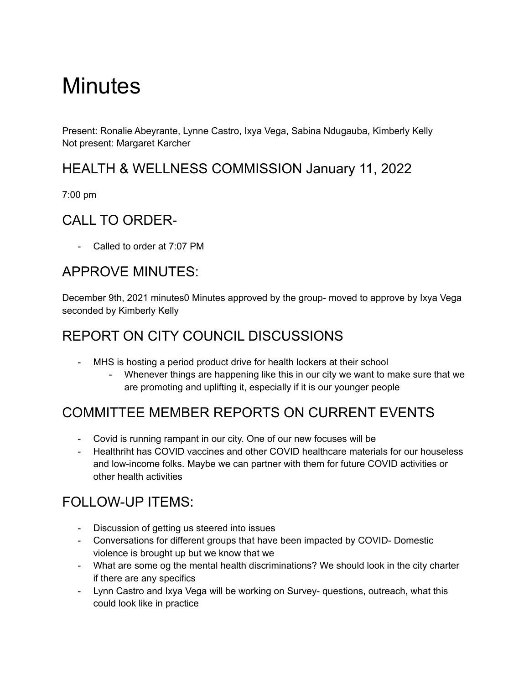# **Minutes**

Present: Ronalie Abeyrante, Lynne Castro, Ixya Vega, Sabina Ndugauba, Kimberly Kelly Not present: Margaret Karcher

### HEALTH & WELLNESS COMMISSION January 11, 2022

7:00 pm

## CALL TO ORDER-

- Called to order at 7:07 PM

### APPROVE MINUTES:

December 9th, 2021 minutes0 Minutes approved by the group- moved to approve by Ixya Vega seconded by Kimberly Kelly

## REPORT ON CITY COUNCIL DISCUSSIONS

- MHS is hosting a period product drive for health lockers at their school
	- Whenever things are happening like this in our city we want to make sure that we are promoting and uplifting it, especially if it is our younger people

## COMMITTEE MEMBER REPORTS ON CURRENT EVENTS

- Covid is running rampant in our city. One of our new focuses will be
- Healthriht has COVID vaccines and other COVID healthcare materials for our houseless and low-income folks. Maybe we can partner with them for future COVID activities or other health activities

## FOLLOW-UP ITEMS:

- Discussion of getting us steered into issues
- Conversations for different groups that have been impacted by COVID- Domestic violence is brought up but we know that we
- What are some og the mental health discriminations? We should look in the city charter if there are any specifics
- Lynn Castro and Ixya Vega will be working on Survey- questions, outreach, what this could look like in practice